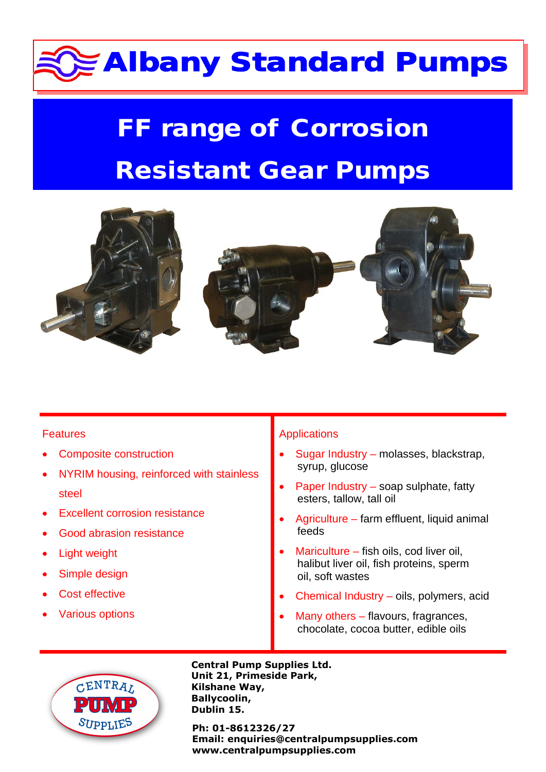# **Albany Standard Pumps**

# **FF range of Corrosion Resistant Gear Pumps**



# **Features**

- Composite construction
- NYRIM housing, reinforced with stainless steel
- **Excellent corrosion resistance**
- Good abrasion resistance
- **Light weight**
- Simple design
- Cost effective
- Various options

# **Applications**

- Sugar Industry molasses, blackstrap, syrup, glucose
- Paper Industry soap sulphate, fatty esters, tallow, tall oil
- Agriculture farm effluent, liquid animal feeds
- Mariculture fish oils, cod liver oil, halibut liver oil, fish proteins, sperm oil, soft wastes
- Chemical Industry oils, polymers, acid
- Many others flavours, fragrances, chocolate, cocoa butter, edible oils



**Albany Standard Pumps Unit 21, Primeside Park, Richter Street, Street, Bradford, Bradford, Bradford, Bradford, Bradford, Bradford, W. Yorks B. 2013 Tel: +44 (0) Ballycoolin, EXAMPLE 20. In Dublin 15. Central Pump Supplies Ltd. Central Pump Supplies Ltd.**

**Kilshane Way Ph: 01-8612326/27 Ballycoolin Email: enquiries@centralpumpsupplies.com Dublin 15 www.centralpumpsupplies.com**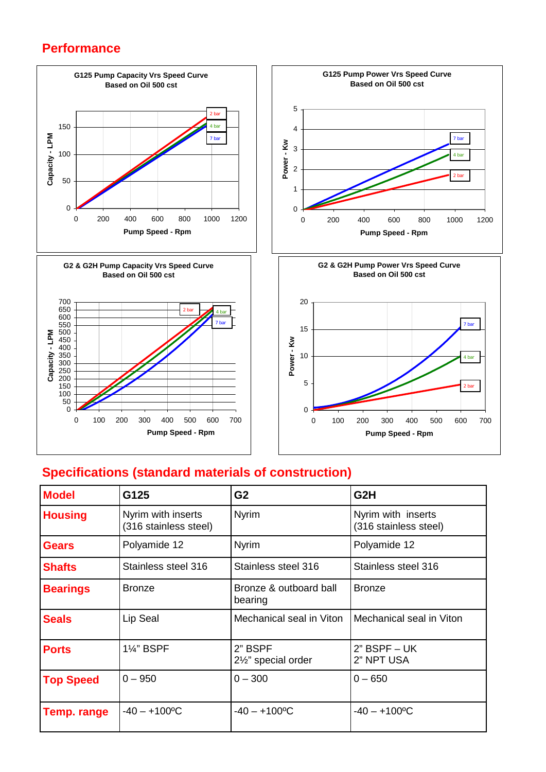# **Performance**



# **Specifications (standard materials of construction)**

| <b>Model</b>     | G125                                        | G <sub>2</sub>                    | G <sub>2</sub> H                            |
|------------------|---------------------------------------------|-----------------------------------|---------------------------------------------|
| <b>Housing</b>   | Nyrim with inserts<br>(316 stainless steel) | <b>Nyrim</b>                      | Nyrim with inserts<br>(316 stainless steel) |
| Gears            | Polyamide 12                                | <b>Nyrim</b>                      | Polyamide 12                                |
| <b>Shafts</b>    | Stainless steel 316                         | Stainless steel 316               | Stainless steel 316                         |
| <b>Bearings</b>  | <b>Bronze</b>                               | Bronze & outboard ball<br>bearing | <b>Bronze</b>                               |
| Seals            | Lip Seal                                    | Mechanical seal in Viton          | Mechanical seal in Viton                    |
| <b>Ports</b>     | 1¼" BSPF                                    | 2" BSPF<br>2½" special order      | $2"$ BSPF $-$ UK<br>2" NPT USA              |
| <b>Top Speed</b> | $0 - 950$                                   | $0 - 300$                         | $0 - 650$                                   |
| Temp. range      | $-40 - +100$ <sup>o</sup> C                 | $-40 - +100$ °C                   | $-40 - +100$ <sup>o</sup> C                 |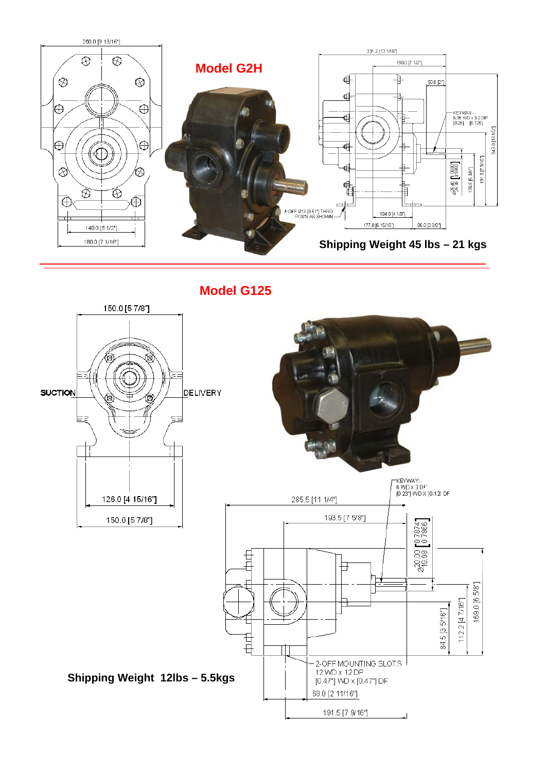